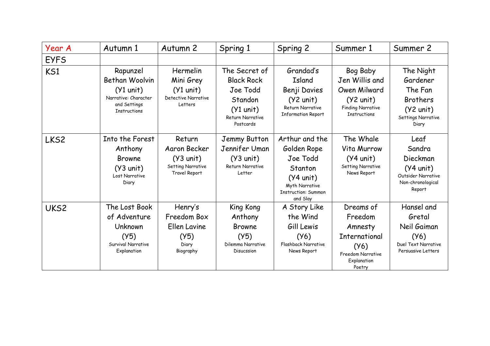| Year A      | Autumn 1                                                                                                 | Autumn 2                                                                                   | Spring 1                                                                                                         | Spring 2                                                                                                                                | Summer 1                                                                                                             | Summer 2                                                                                                  |
|-------------|----------------------------------------------------------------------------------------------------------|--------------------------------------------------------------------------------------------|------------------------------------------------------------------------------------------------------------------|-----------------------------------------------------------------------------------------------------------------------------------------|----------------------------------------------------------------------------------------------------------------------|-----------------------------------------------------------------------------------------------------------|
| <b>EYFS</b> |                                                                                                          |                                                                                            |                                                                                                                  |                                                                                                                                         |                                                                                                                      |                                                                                                           |
| KS1         | Rapunzel<br>Bethan Woolvin<br>$(Y1$ unit)<br>Narrative: Character<br>and Settings<br><b>Instructions</b> | Hermelin<br>Mini Grey<br>$(Y1$ unit)<br>Detective Narrative<br>Letters                     | The Secret of<br><b>Black Rock</b><br>Joe Todd<br>Standon<br>$(Y1$ unit)<br><b>Return Narrative</b><br>Postcards | Grandad's<br>Island<br>Benji Davies<br>$(Y2 \text{ unit})$<br><b>Return Narrative</b><br><b>Information Report</b>                      | Bog Baby<br>Jen Willis and<br>Owen Milward<br>$(Y2 \text{ unit})$<br><b>Finding Narrative</b><br><b>Instructions</b> | The Night<br>Gardener<br>The Fan<br><b>Brothers</b><br>$(Y2 \text{ unit})$<br>Settings Narrative<br>Diary |
| LKS2        | Into the Forest<br>Anthony<br><b>Browne</b><br>$(Y3 \text{ unit})$<br>Lost Narrative<br>Diary            | Return<br>Aaron Becker<br>$(Y3 \text{ unit})$<br><b>Setting Narrative</b><br>Travel Report | Jemmy Button<br>Jennifer Uman<br>$(Y3$ unit)<br><b>Return Narrative</b><br>Letter                                | Arthur and the<br>Golden Rope<br>Joe Todd<br>Stanton<br>$(Y4 \text{ unit})$<br>Myth Narrative<br><b>Instruction: Summon</b><br>and Slay | The Whale<br>Vita Murrow<br>$(Y4$ unit)<br><b>Setting Narrative</b><br>News Report                                   | Leaf<br>Sandra<br>Dieckman<br>$(Y4$ unit)<br>Outsider Narrative<br>Non-chronological<br>Report            |
| UKS2        | The Lost Book<br>of Adventure<br>Unknown<br>(Y5)<br>Survival Narrative<br>Explanation                    | Henry's<br>Freedom Box<br>Ellen Lavine<br>(Y5)<br>Diary<br>Biography                       | King Kong<br>Anthony<br><b>Browne</b><br>(Y5)<br>Dilemma Narrative<br>Disucssion                                 | A Story Like<br>the Wind<br>Gill Lewis<br>(Y6)<br>Flashback Narrative<br>News Report                                                    | Dreams of<br>Freedom<br>Amnesty<br><b>International</b><br>(Y6)<br>Freedom Narrative<br>Explanation<br>Poetry        | Hansel and<br>Gretal<br>Neil Gaiman<br>(Y6)<br>Duel Text Narrative<br>Persuasive Letters                  |